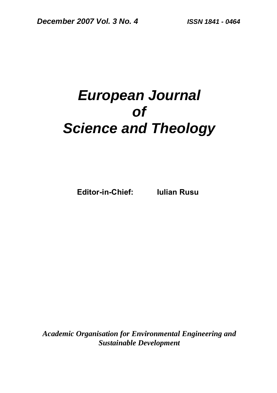# *European Journal of Science and Theology*

**Editor-in-Chief: Iulian Rusu** 

*Academic Organisation for Environmental Engineering and Sustainable Development*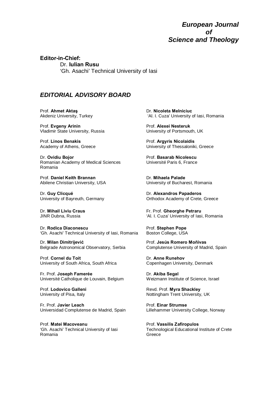*European Journal of Science and Theology* 

**Editor-in-Chief:**  Dr. **Iulian Rusu**  'Gh. Asachi' Technical University of Iasi

#### *EDITORIAL ADVISORY BOARD*

Prof. **Ahmet Aktaş** Akdeniz University, Turkey

Prof. **Evgeny Arinin** Vladimir State University, Russia

Prof. **Linos Benakis** Academy of Athens, Greece

Dr. **Ovidiu Bojor** Romanian Academy of Medical Sciences Romania

Prof. **Daniel Keith Brannan** Abilene Christian University, USA

Dr. **Guy Clicqué** University of Bayreuth, Germany

Dr. **Mihail Liviu Craus** JINR Dubna, Russia

Dr. **Rodica Diaconescu** 'Gh. Asachi' Technical University of Iasi, Romania

Dr. **Milan Dimitrijević** Belgrade Astronomical Observatory, Serbia

Prof. **Cornel du Toit**  University of South Africa, South Africa

Fr. Prof. **Joseph Famerée**  Université Catholique de Louvain, Belgium

Prof. **Lodovico Galleni**  University of Pisa, Italy

Fr. Prof. **Javier Leach** Universidad Complutense de Madrid, Spain

Prof. **Matei Macoveanu** 'Gh. Asachi' Technical University of Iasi Romania

Dr. **Nicoleta Melniciuc** 'Al. I. Cuza' University of Iasi, Romania

Prof. **Alexei Nesteruk**  University of Portsmouth, UK

Prof. **Argyris Nicolaidis** University of Thessaloniki, Greece

Prof. **Basarab Nicolescu** Université Paris 6, France

Dr. **Mihaela Palade** University of Bucharest, Romania

Dr. **Alexandros Papaderos**  Orthodox Academy of Crete, Greece

Fr. Prof. **Gheorghe Petraru** 'Al. I. Cuza' University of Iasi, Romania

Prof. **Stephen Pope** Boston College, USA

Prof. **Jesús Romero Moñivas** Complutense University of Madrid, Spain

Dr. **Anne Runehov**  Copenhagen University, Denmark

Dr. **Akiba Segal**  Weizmann Institute of Science, Israel

Revd. Prof. **Myra Shackley** Nottingham Trent University, UK

Prof. **Einar Strumse**  Lillehammer University College, Norway

Prof. **Vassilis Zafiropulos**  Technological Educational Institute of Crete Greece